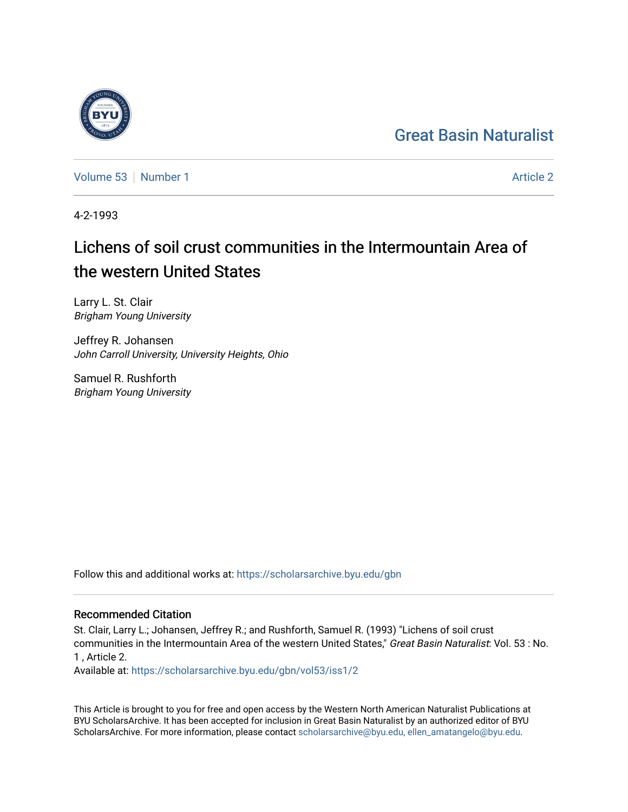## [Great Basin Naturalist](https://scholarsarchive.byu.edu/gbn)

[Volume 53](https://scholarsarchive.byu.edu/gbn/vol53) [Number 1](https://scholarsarchive.byu.edu/gbn/vol53/iss1) [Article 2](https://scholarsarchive.byu.edu/gbn/vol53/iss1/2) Article 2 Article 2 Article 2 Article 2 Article 2 Article 2

4-2-1993

# Lichens of soil crust communities in the Intermountain Area of the western United States

Larry L. St. Clair Brigham Young University

Jeffrey R. Johansen John Carroll University, University Heights, Ohio

Samuel R. Rushforth Brigham Young University

Follow this and additional works at: [https://scholarsarchive.byu.edu/gbn](https://scholarsarchive.byu.edu/gbn?utm_source=scholarsarchive.byu.edu%2Fgbn%2Fvol53%2Fiss1%2F2&utm_medium=PDF&utm_campaign=PDFCoverPages) 

## Recommended Citation

St. Clair, Larry L.; Johansen, Jeffrey R.; and Rushforth, Samuel R. (1993) "Lichens of soil crust communities in the Intermountain Area of the western United States," Great Basin Naturalist: Vol. 53 : No. 1 , Article 2.

Available at: [https://scholarsarchive.byu.edu/gbn/vol53/iss1/2](https://scholarsarchive.byu.edu/gbn/vol53/iss1/2?utm_source=scholarsarchive.byu.edu%2Fgbn%2Fvol53%2Fiss1%2F2&utm_medium=PDF&utm_campaign=PDFCoverPages)

This Article is brought to you for free and open access by the Western North American Naturalist Publications at BYU ScholarsArchive. It has been accepted for inclusion in Great Basin Naturalist by an authorized editor of BYU ScholarsArchive. For more information, please contact [scholarsarchive@byu.edu, ellen\\_amatangelo@byu.edu.](mailto:scholarsarchive@byu.edu,%20ellen_amatangelo@byu.edu)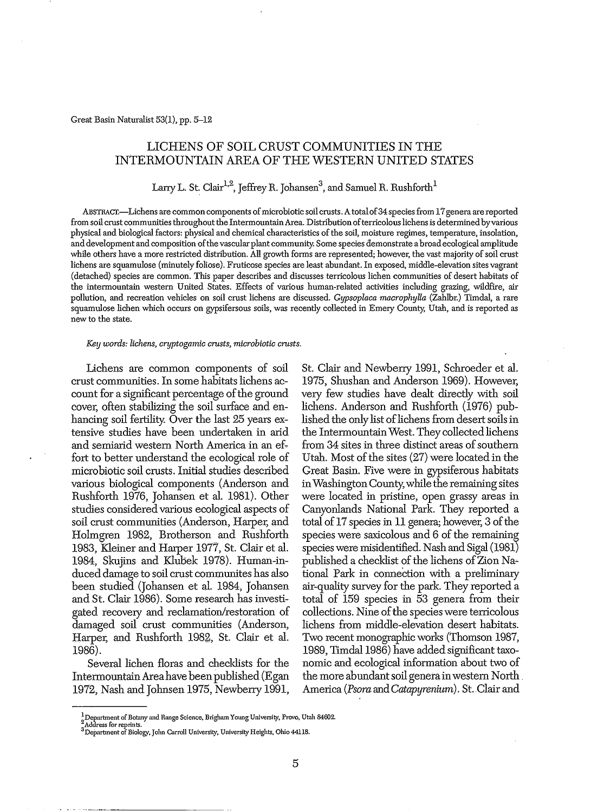## LICHENS OF SOIL CRUST COMMUNITIES IN THE INTERMOUNTAIN AREA OF THE WESTERN UNITED STATES

## Larry L. St. Clair<sup>1,2</sup>, Jeffrey R. Johansen $^3$ , and Samuel R. Rushforth $^1$

ABSTRACT.-Lichens are common components of microbiotic soil crusts. A total of 34 species from 17 genera are reported from soil crust communities throughout the Intermountain Area. Distribution of terricolous lichens is determined by various physical and biological factors: physical and chemical characteristics of the soil, moisture regimes, temperature, insolation, and development and composition ofthe vascularplant community. Some species demonstrate abroad ecological amplitude while others have a more restricted distribution. All growth forms are represented; however, the vast majority of soil crust lichens are squamulose (minutely foliose). Fruticose species are least abundant. In exposed, middle-elevation sites vagrant (detached) species are common. This paper describes and discusses terricolous lichen communities of desert habitats of the intermountain western United States. Effects of various human-related activities including grazing, wildfire, air pollution, and recreation vehicles on soil crust lichens are discussed. *Gypsoplaca macrophylla* (Zahlbr.) Timdal, a rare squamulose lichen which occurs on gypsifersous soils, was recently collected in Emery County, Utah, and is reported as new to the state.

#### *Key words: lichens, cryptogamic crusts, microbiotic crusts.*

Lichens are common components of soil crust communities. In some habitats lichens account for a significant percentage of the ground cover, often stabilizing the soil surface and enhancing soil fertility. Over the last 25 years extensive studies have been undertaken in arid and semiarid western North America in an effort to better understand the ecological role of microbiotic soil crusts. Initial studies described various biological components (Anderson and Rushforth 1976, Johansen et al. 1981). Other studies considered various ecological aspects of soil crust communities (Anderson, Harper, and Holmgren 1982, Brotherson and Rushforth 1983, Kleiner and Harper 1977, St. Clair et al. 1984, Skujins and Klubek 1978). Human-induced damage to soil crust communites has also been studied (Johansen et al. 1984, Johansen and St. Clair 1986). Some research has investigated recovery and reclamation/restoration of damaged soil crust communities (Anderson, Harper, and Rushforth 1982, St. Clair et al. 1986).

Several lichen floras and checklists for the IntermountainAreahave been published (Egan 1972, Nash and Johnsen 1975, Newberry 1991,

St. Clair and Newberry 1991, Schroeder et al. 1975, Shushan and Anderson 1969). However, very few studies have dealt directly with soil lichens. Anderson and Rushforth (1976) published the only list of lichens from desert soils in the IntermountainWest. They collected lichens from 34 sites in three distinct areas of southern Utah. Most of the sites  $(27)$  were located in the Great Basin. Five were in gypsiferous habitats inWashingtonCounty,while the remaining sites were located in pristine, open grassy areas in Canyonlands National Park. They reported a total of  $17$  species in  $11$  genera; however, 3 of the species were saxicolous and 6 of the remaining species were misidentified. Nash and Sigal (1981) published a checklist of the lichens of Zion National Park in connection with a preliminary air-quality survey for the park. They reported a total of 159 species in 53 genera from their collections. Nine of the species were terricolous lichens from middle-elevation desert habitats. Two recent monographic works (Thomson 1987, 1989, Timdal 1986) have added significant taxonomic and ecological information about two of the more abundant soil genera in western North America *(Psora* and*Catapyrenium).* St..Clair and

 $^{1}_{2}$ Department of Botany and Range Science, Brigham Young University, Provo. Utah 84602.

**<sup>...</sup>Address for reprints.** 3Department of Biology, John Carroll University, University Heights, Ohio 44118.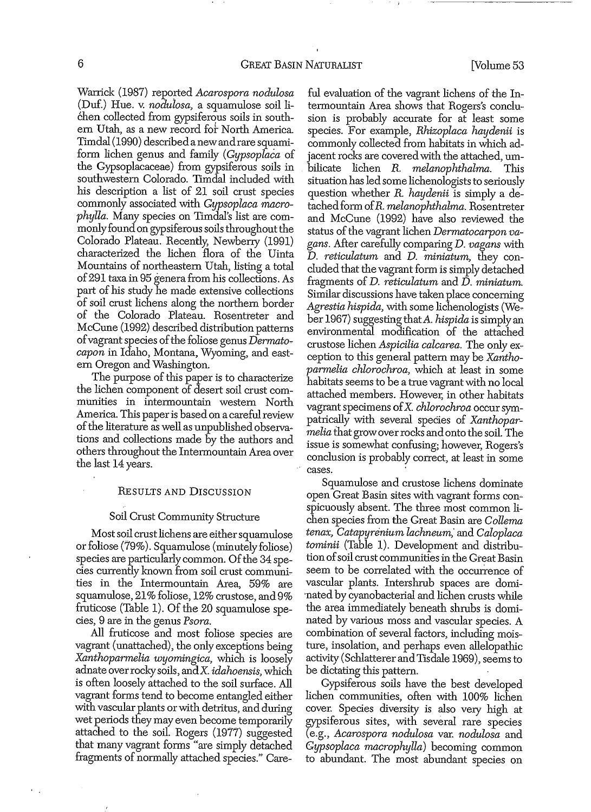Wanick (1981) repOlted *Acarospora nodulosa* (Duf.) Hue. v. *nodulosa*, a squamulose soil lichen collected from gypsiferous soils in southern Utah, as a new record fot North America. Timdal(1990) describedanewandraresquamiform lichen genus and family *(Gypsoplaca* of the Gypsoplacaceae) from gypsiferous soils in southwestern Colorado. Timdal included with his description a list of 21 soil crust species commonly associated with *Gypsoplaca macrophylla.* Many species on Timdal's list are commonly found on gypsiferous soils throughout the Colorado Plateau. Recently, Newberry (1991) characterized the lichen flora of the Uinta Mountains of northeastern Utah, listing a total of291 taxa in 95 genera from his collections. As part of his study he made extensive collections of soil crust lichens along the northern border of the Colorado Plateau. Rosentreter and McCune (1992) described distribution patterns of vagrant species of the foliose genus *Dermatocapon* in Idaho, Montana, Wyoming, and eastern Oregon and Washington.

The purpose of this paper is to characterize the lichen component of desert soil crust communities in intermountain western North America. This paper is based on a careful review of the literature as well as unpublished observations and collections made by the authors and others throughout the Intermountain Area over the last 14 years.

#### RESULTS AND DISCUSSION

#### Soil Crust Community Structure

Most soil crust lichens are either squamulose or foliose (19%). Squamulose (minutelyfoliose) species are particularly common. Of the 34 species currently known from soil crust communities in the Intermountain Area, 59% are squamulose, 21% foliose, 12% crustose, and 9% fruticose (Table 1). Of the  $20$  squamulose species, 9 are in the genus *Psora.*

**All** fruticose and most foliose species are vagrant (unattached), the only exceptions being *Xanthoparmelia wyomingica,* which is loosely adnate overrockysoils, andX. *idahoensis,* which is often loosely attached to the soil surface. All vagrant forms tend to become entangled either with vascular plants or with detritus, and during wet periods they may even become temporarily attached to the soil. Rogers (1977) suggested that many vagrant forms "are simply detached fragments of normally attached species." Careful evaluation of the vagrant lichens of the Intermountain Area shows that Rogers's conclusion is probably accurate for at least some species. For example, *Rhizoplaca haydenii* is commonly collected from habitats in which adjacent rocks are coveredwith the attached, umbilicate lichen *R. melanophthalma.* This situation has led some lichenologists to seriously question whether *R. haydenii* is simply a detachedform *ofR. melanophthalma.* Rosentreter and McCune (1992) have also reviewed the status of the vagrant lichen *Dermatocarpon vagans.* After carefully comparing D. *vagans* with D. *reticulatwn* and D. *miniatum,* they concluded that the vagrant form is simply detached fragments of D. *reticulatum* and D. *miniatum.* Similar discussions have taken place concerning *Agrestia hispida,* with some lichenologists (Weber 1967) suggesting that*A. hispida* is simply an environmental modification of the attached crustose lichen *Aspicilia calcarea.* The only exception to this general pattern may be *Xanthoparmelia chlorochroa,* which at least in some habitats seems to be a true vagrant with no local attached members. However, in other habitats vagrant specimens ofX. *chlorochroa* occursympatrically with several species of *Xanthoparmelia* that grow over rocks and onto the soil. The issue is somewhat confusing; however, Rogers's conclusion is probably correct, at least in some cases. .

Squamulose and crustose lichens dominate open Great Basin sites with vagrant forms con~ spicuously absent. The three most common lichen species from the Great Basin are *Collema tenax, Catapyrenium lachneum;* and *Caloplaca tominii* (Table 1). Development and distribution of soil crust communities in the Great Basin seem to be correlated with the occurrence of vascular plants. Intershrub spaces are domi- 'nated by cyanobacterial and lichen crusts while the area immediately beneath shrubs is dominated by various moss and vascular species. A combination of several factors, including moisture, insolation, and perhaps even allelopathic activity (Schlatterer andTisdale 1969), seems to be dictating this pattern.

Gypsiferous soils have the best developed lichen communities, often with 100% lichen cover. Species diversity is also very high at gypsiferous sites, with several rare species (e.g., *Acarospora nodulosa* var. *nodulosa* and *Gypsoplaca macrophylla)* becoming common to abundant. The most abundant species on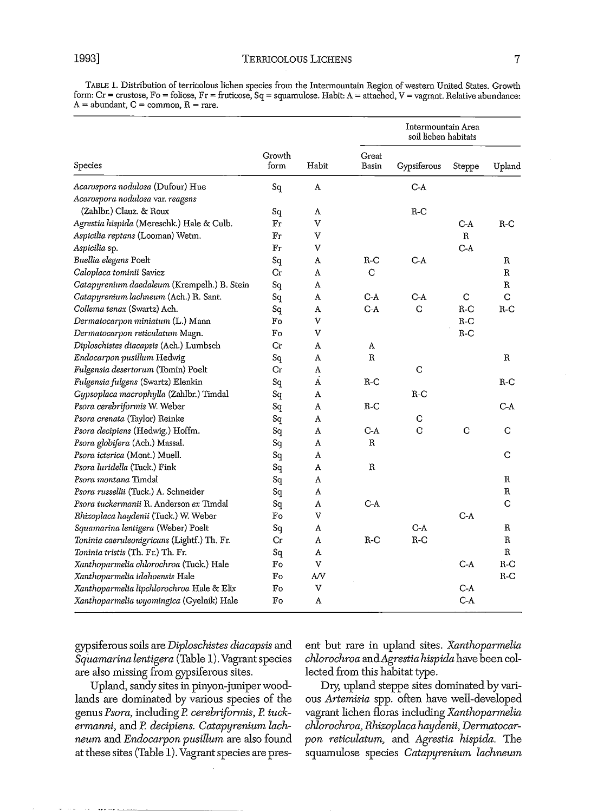TABLE 1. Distribution of terricolous lichen species from the Intermountain Region ofwestern United States. Growth form:  $Cr =$  crustose,  $Fo =$  foliose,  $Fr =$  fruticose,  $Sq =$  squamulose. Habit:  $A =$  attached,  $V =$  vagrant. Relative abundance:  $A =$  abundant,  $C =$  common,  $R =$  rare.

| Species                                     | Growth<br>form | Habit | Intermountain Area<br>soil lichen habitats |             |              |              |
|---------------------------------------------|----------------|-------|--------------------------------------------|-------------|--------------|--------------|
|                                             |                |       | Great<br>Basin                             | Gypsiferous | Steppe       | Upland       |
| Acarospora nodulosa (Dufour) Hue            | Sq             | A     |                                            | $C-A$       |              |              |
| Acarospora nodulosa var. reagens            |                |       |                                            |             |              |              |
| (Zahlbr.) Clauz. & Roux                     | Sq             | A     |                                            | $R-C$       |              |              |
| Agrestia hispida (Mereschk.) Hale & Culb.   | Fr             | v     |                                            |             | $C-A$        | $R-C$        |
| Aspicilia reptans (Looman) Wetm.            | Fr             | v     |                                            |             | $\mathbb{R}$ |              |
| Aspicilia sp.                               | Fr             | v     |                                            |             | $C-A$        |              |
| Buellia elegans Poelt                       | Sq             | A     | $R-C$                                      | $C-A$       |              | R            |
| Caloplaca tominii Savicz                    | Сr             | A     | С                                          |             |              | R            |
| Catapyrenium daedaleum (Krempelh.) B. Stein | Sq             | A     |                                            |             |              | R            |
| Catapyrenium lachneum (Ach.) R. Sant.       | Sq             | A     | $C-A$                                      | $C-A$       | C            | C            |
| Collema tenax (Swartz) Ach.                 | Sq             | A     | $C-A$                                      | C           | $R-C$        | $R-C$        |
| Dermatocarpon miniatum (L.) Mann            | Fo             | V     |                                            |             | $R-C$        |              |
| Dermatocarpon reticulatum Magn.             | Fo             | v     |                                            |             | $R-C$        |              |
| Diploschistes diacapsis (Ach.) Lumbsch      | Сr             | A     | A                                          |             |              |              |
| Endocarpon pusillum Hedwig                  | $S_{q}$        | A     | $\, {\bf R}$                               |             |              | R            |
| Fulgensia desertorum (Tomin) Poelt          | Сr             | A     |                                            | C           |              |              |
| Fulgensia fulgens (Swartz) Elenkin          | Sq             | A     | $R-C$                                      |             |              | R-C          |
| Gypsoplaca macrophylla (Zahlbr.) Timdal     | Sq             | A     |                                            | R-C         |              |              |
| Psora cerebriformis W. Weber                | Sq             | A     | R-C                                        |             |              | C-A          |
| Psora crenata (Taylor) Reinke               | Sq             | A     |                                            | C           |              |              |
| Psora decipiens (Hedwig.) Hoffm.            | Sq             | Α     | $C-A$                                      | C           | C            | С            |
| Psora globifera (Ach.) Massal.              | Sq             | A     | R                                          |             |              |              |
| Psora icterica (Mont.) Muell.               | Sq             | A     |                                            |             |              | С            |
| Psora luridella (Tuck.) Fink                | Sq             | A     | R                                          |             |              |              |
| Psora montana Timdal                        | Sq             | A     |                                            |             |              | R            |
| Psora russellii (Tuck.) A. Schneider        | Sq             | A     |                                            |             |              | R            |
| Psora tuckermanii R. Anderson ex Timdal     | Sq             | A     | $C-A$                                      |             |              | C            |
| Rhizoplaca haydenii (Tuck.) W. Weber        | Fo             | v     |                                            |             | $C-A$        |              |
| Squamarina lentigera (Weber) Poelt          | Sq             | A     |                                            | $C-A$       |              | R            |
| Toninia caeruleonigricans (Lightf.) Th. Fr. | Cr             | A     | $R-C$                                      | $R-C$       |              | $\, {\bf R}$ |
| Toninia tristis (Th. Fr.) Th. Fr.           | sq             | A     |                                            |             |              | R            |
| Xanthoparmelia chlorochroa (Tuck.) Hale     | Fo             | v     |                                            |             | $C-A$        | $R-C$        |
| Xanthoparmelia idahoensis Hale              | Fo             | A/V   |                                            |             |              | $R-C$        |
| Xanthoparmelia lipchlorochroa Hale & Elix   | Fo             | v     |                                            |             | C-A          |              |
| Xanthoparmelia wyomingica (Gyelnik) Hale    | Fo             | A     |                                            |             | $C-A$        |              |

are also missing from gypsiferous sites. lected from this habitat type.

lands are dominated by various species of the ous *Artemisia* spp. often have well-developed genus *Psora,* including P. *cerebriformis,* P. *tuck-* vagrant lichen floras including *Xanthoparmelia ennanni,* and P. *decipiens. Catapyrenium lach- chlorochroa, Rhizoplaca haydenii, Dennatocarneum* and *Endocarpon pusillwn* are also found *pon reticulatwn,* and *Agrestia hispida.* The

gypsiferous soils are *Diploschistes diacapsis* and ent but rare in upland sites. *Xanthoparmelia Sqitamarina lentigera* (Table 1).Vagrantspecies *chlorochroa andAgrestia hispida* have been col-

Upland, sandy sites in pinyon-juniperwood- *Dry;* upland steppe sites dominated by variat these sites (Table 1). Vagrantspecies are pres- squamulose species *Catapyrenium lachneum*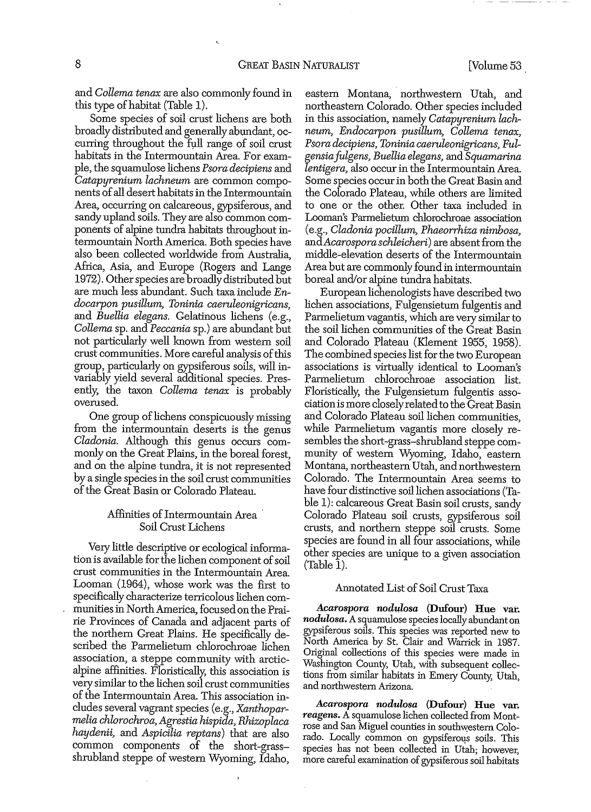and *Collema tenax* are also commonly found in this type of habitat (Table 1).

Some species of soil crust lichens are both broadly distributed and generally abundant, occurring throughout the full range of soil crust habitats in the Intermountain Area. For example, the squamulose lichens *Psora decipiens* and *Catapyrenium lachneum* are common components of all desert habitats in the Intermountain Area, occurring on calcareous, gypsiferous, and sandy upland soils. They are also common components of alpine tundra habitats throughout intermountain North America. Both species have also been collected worldwide from Australia, Africa, Asia, and Europe (Rogers and Lange 1972). Other species are broadly distributed but are much less abundant. Such taxa include  $En$ *docarpon pusillum, Toninia caeruleonigricans,* and *Buellia elegans.* Gelatinous lichens (e.g., *Collema* sp. and *Peccania* sp.) are abundant but not particularly well known from western soil crust communities. More careful analysis ofthis group, particularly on gypsiferous soils, will in~ variably yield several additional species. Presently, the taxon *Collema tenax* is probably overused.

One group of lichens conspicuously missing from the intermountain deserts is the genus *Cladonia.* Although this genus occurs commonly on the Great Plains, in the boreal forest, and on the alpine tundra, it is not represented by a single species in the soil crust communities ofthe Great Basin or Colorado Plateau.

### Affinities of Intermountain Area Soil Crust Lichens

Very little descriptive or ecological information is available for the lichen component of soil crust communities in the Intermountain Area. Looman (1964), whose work was the first to specifically characterize terricolous lichen communities in North America, focused on the Prairie Provinces of Canada and adjacent parts of the northern Great Plains. He specifically described the Parmelietum chlorochroae lichen association, a steppe community with arcticalpine affinities. Floristically, this association is very similar to the lichen soil crust communities of the Intermountain Area. This association includes several vagrant species (e.g., *Xanthoparmelia chlorochroa, Agrestia hispida, Rhizoplaca haydenii,* and *Aspicilia reptans)* that are also common. components of the short-grassshrubland steppe of western Wyoming, Idaho,

eastern Montana, northwestern Utah, and northeastern Colorado. Other species included in this association, namely *Catapyrenium lachneum, Endocarpon pusillum, Collema tenax, PSQra decipiens, Toninia caeruleonigricans, Fulgensiafulgens, Buellia elegans,* and *Squamarina lentigera,* also occur in the Intermountain Area. Some species occurin both the Great Basin and the Colorado Plateau, while others are limited to one or the other. Other taxa included in Looman's Parmelietum chlorochroae association (e.g., *Cladonia pocillum, Phaeorrhiza nimhosa,* and *Acarospora schleicheri*) are absent from the middle-elevation deserts of the Intermountain Area but are commonly found in intermountain boreal and/or alpine tundra habitats.

European lichenologists have described two lichen associations, Fulgensietum fulgentis and Parmelietum vagantis, which are very similar to the soil lichen communities of the Great Basin and Colorado Plateau (Klement 1955, 1958). The combined species list for the two European associations is virtually identical to Looman's Parmelietum chlorochroae association list. Floristically, the Fulgensietum fulgentis association is more closely related to the Great Basin and Colorado Plateau soil lichen communities, while Parmelietum vagantis more closely resembles the short-grass-shrubland steppe community of western Wyoming, Idaho, eastern Montana, northeastern Utah, and northwestern Colorado. The Intermountain Area *seems* to have four distinctive soil lichen associations (Table 1): calcareous Great Basin soil crusts, sandy Colorado Plateau soil crusts, gypsiferous soil crusts, and northern steppe soil crusts. Some species are found in all four associations, while other species are unique to a given association (Table 1).

#### Annotated List of Soil Crust Taxa

*Acaro8pora nodulosa* (Dufour) Hue var. *nodulosa*. A squamulose species locally abundant on gypsiferous soils. This species was reported new to North America by St. Clair and Warrick in 1987. Original collections of this species were made in Washington County, Utah, with subsequent collections from similar habitats in Emery County, Utah, and northwestern Arizona.

*Acarospora nodulosa* (Dufour) Hue var. *reagens.* A squamulose lichen collected from Montrose and San Miguel counties in southwestern Colorado. Locally common on gypsiferoqs soils. This species has not been collected in Utah; however, more careful examination of gypsiferous soil habitats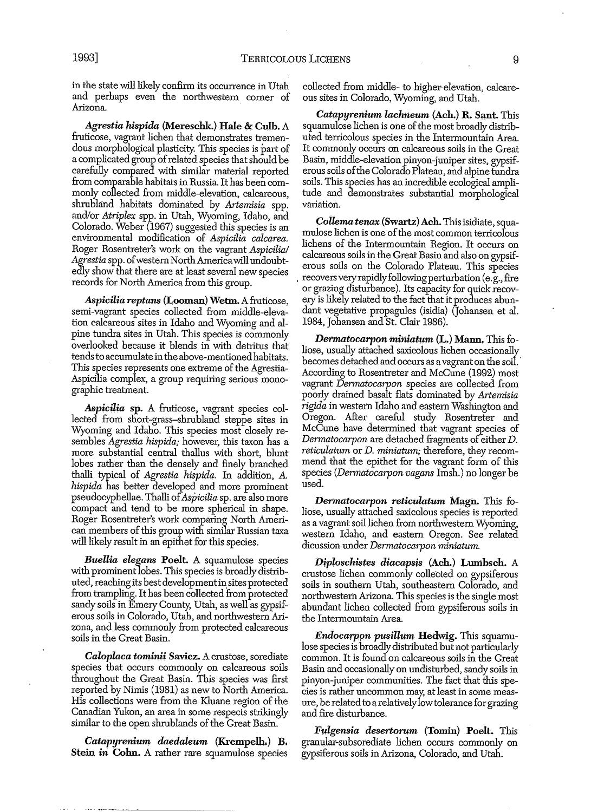in the state will likely confirm its occurrence in Utah and perhaps even the northwestern comer of Arizona.

*Agrestia hispida* (Mereschk.) Hale & Culh. A fruticose, vagrant lichen that demonstrates tremendous morphological plasticity. This species is part of a complicated group of related species that should be carefully compared with similar material reported from comparable habitats in Russia. Ithas been commonly collected from middle-elevation, calcareous, shrubland habitats dominated by *Artemisia* spp. and/or *Atriplex* spp. in Utah, Wyoming, Idaho, and Colorado. Weber (1967) suggested this species is an environmental modification of *Aspicilia calcarea.* Roger Rosentreter's work on the vagrant *Aspicilia/ Agrestia* spp. ofwestern NorthAmericawill undoubtedly show that there are at least several new species records for North America from this group.

*Aspicilia reptans* (Looman) Wetm. Afruticose, semi-vagrant species collected from middle-elevation calcareous sites in Idaho and Wyoming and alpine tundra sites in Utah. This species is commonly overlooked because it blends in with detritus that tends to accumulate in the above-mentioned habitats. This species represents one extreme of the Agrestia-Aspicilia complex, a group requiring serious monographic treatment.

*Aspicilia* sp. A fmticose, vagrant species collected from short-grass-shmbland steppe sites in Wyoming and Idaho. This species most closely resembles *Agrestia hispida;* however, this taxon has a more substantial central thallus with short, blunt lobes rather than the densely and finely branched thalli typical of *Agrestia hispida.* In addition, A. *hispida* has better developed and more prominent pseudocyphellae. Thalli of *Aspicilia* sp. are also more compact and tend to be more spherical in shape. Roger Rosentreter's work comparing North American members of this group with similar Russian taxa will likely result in an epithet for this species.

*Buellia elegans* Poelt. A squamulose species with prominent lobes. This species is broadly distributed, reaching its best development in sites protected from trampling. Ithas been collected from protected sandy soils in Emery County, Utah, as well as gypsiferous soils in Colorado, Utah, and northwestern Arizona, and less commonly from protected calcareous soils in the Great Basin.

**Caloplaca tominii Savicz.** A crustose, sorediate species that occurs commonly on calcareous soils throughout the Great Basin. This species was first reported by Nimis (1981) as new to North America. His collections were from the Kluane region of the Canadian Yukon, an area in some respects strikingly similar to the open shrublands of the Great Basin.

*Catapyrenium daedaleum* (Krempelh.) B. Stein *in* Cohn. A rather rare squamulose species collected from middle- to higher-elevation, calcareous sites in Colorado, Wyoming, and Utah.

*Catapyrenium lachneum* (Ach.) R. Sant. This squamulose lichen is one of the most broadly distributed terricolous species in the Intermountain Area. It commonly occurs on calcareous soils in the Great Basin, middle-elevation pinyon-juniper sites, gypsiferoussoils ofthe Colorado Plateau, and alpine tundra soils. This species has an incredible ecological amplitude and demonstrates substantial morphological variation.

 $Collema tenax$  (Swartz) Ach. This isidiate, squamulose lichen is one ofthe most common terricolous lichens of the Intermountain Region. It occurs on calcareous soilsin the Great Basin and also on gypsiferous soils on the Colorado Plateau. This species recovers very rapidly following perturbation (e.g., fire or grazing disturbance). Its capacity for quick recovery is likely related to the fact that it produces abundant vegetative propagules (isidia) (Johansen et al. 1984, Johansen and St. Clair 1986).

*Dermatocarponminiatum* (L.) Mann. This foliose, usually attached saxicolous lichen occasionally becomes detached and occurs as avagrant on the soil. . According to Rosentreter and McCune (1992) most vagrant *Dermatocarpon* species are collected from poorly drained basalt flats dominated by *Artemisia rigida* in western Idaho and eastern Washington and Oregon. After careful study Rosentreter and McCune have determined that vagrant species of *Dermatocarpon* are detached fragments of eitherD. *reticulatum* or D. *miniatum;* therefore, they recommend that the epithet for the vagrant form of this species *(Dermatocarpon vagans* Imsh.) no longer be used.

*Dermatocarpon reticulatum* Magn. This foliose, usually attached saxicolous species is reported as a vagrant soil lichen from northwestern Wyoming, western Idaho, and eastern Oregon. See related dicussion under *Dermatocarpon miniatum.*

*Diploschistes diacapsis* (Ach.) Lunihsch. A crustose lichen commonly collected on gypsiferous soils in southern Utah, southeastern Colorado, and northwestern Arizona. This speciesis the single most abundant lichen collected from gypsiferous soils in the Intermountain Area.

*Endocarpon pusillum* Hedwig. This squamulose species is broadly distributed but not particularly common. It is found on calcareous soils in the Great Basin and occasionally on undisturbed, sandy soils in pinyon-juniper communities. The fact that this species is rather uncommon may; at least in some measure, be related to a relatively low tolerance for grazing and fire disturbance.

*Fulgensia deserlorum* (Tomin) Poelt. This granular-subsorediate lichen occurs commonly on gypsiferous soils in Arizona, Colorado, and Utah.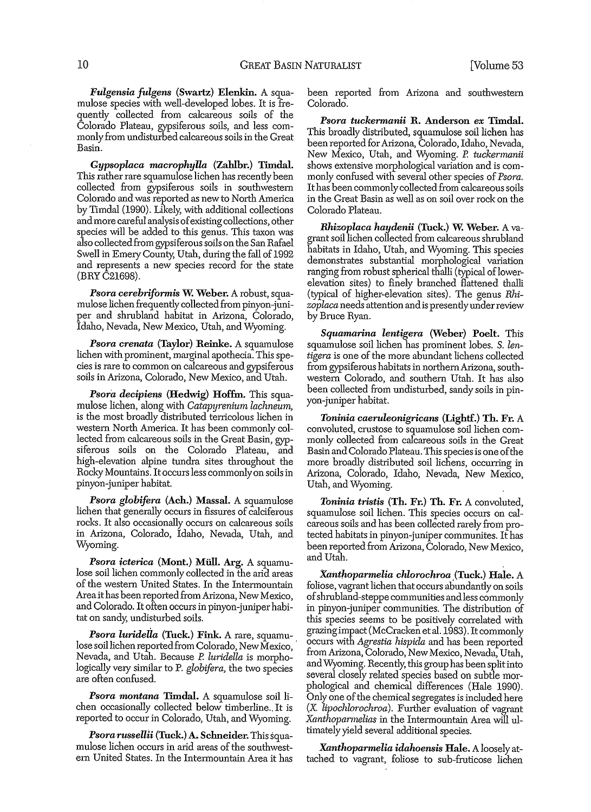*Fulgensia Julgens* (Swartz) Elenkin. A squamulose species with well-developed lobes. It is frequently collected from calcareous soils of the Colorado Plateau, gypsiferous soils, and less commonlyfrom undisturbed calcareous soilsin the Great Basin.

*Gypsoplaca macrophylla* (Zahlbr.) Timdal. This rather rare squamulose lichen has recently been collected from gypsiferous soils in southwestern Colorado and was reported as new to North America by TImdal (1990). Likely, with additional collections and more careful analysis of existing collections, other species will be added to this genus. This taxon was also collected from gypsiferous soils on the San Rafael Swell in Emery County, Utah, during the fall of 1992 and represents a new species record for the state (BRY *C21698).*

Psora cerebriformis W. Weber. A robust, squamulose lichen frequently collected from pinyon-juniper and shmbland habitat in Arizona, Colorado, IdallO, Nevada, New Mexico, Utah, and Wyoming.

*Psoracrenata* (Taylor) Reinke. A squamulose lichen with prominent, marginal apothecia. This species is rare to common on calcareous and gypsiferous soils in Arizona, Colorado, New Mexico, and Utall.

*Psora decipiens* (Hedwig) Hoffm. This squamulose lichen, along with *Catapyrenium lachneum,* is the most broadly distributed terricolous lichen in western North America. It has been commonly collected from calcareous soils in the Great Basin, gypsiferous soils on the Colorado Plateau, and high-elevation alpine tundra sites throughout the Rocky Mountains. Itoccursless commonlyon soilsin pinyon-juniper habitat.

**Psora globifera** (Ach.) Massal. A squamulose lichen that generally occurs in fissures of calciferous rocks. It also occasionally occurs on calcareous soils in Arizona, Colorado, Idaho, Nevada, Utah, and Wyoming.

*Psora icterica* (Mont.) Miill. Arg. A squamulose soil lichen commonly collected in the arid areas of the western United States. In the Intermountain Area it has been reported from Arizona, New Mexico, and Colorado. Itoften occursin pinyon-juniperhabitat on sandy; undisturbed soils.

*Psora luridella* (Tuck.) Fink. A rare, squamu-. lose soil lichen reported from Colorado, New Mexico, Nevada, and Utah. Because *P. luriclella* is morpholOgically *very* similar to P. *globifera,* the two species are often confused.

Psora montana Timdal. A squamulose soil lichen occasionally collected below timberline.. It is reported to occur in Colorado, Utah, and Wyoming.

*Psora russellii* (Tuck.) A. Schneider. Thissquamulose lichen occurs in arid areas of the southwestern United States. In the Intennountain Area it has been reported from Arizona and southwestern Colorado.

*Psora tuckermanii* R. Anderson *ex* Timdal. This broadly distributed, squamulose soil lichen has been reported for Arizona, Colorado, Idaho, Nevada, New Mexico, Utah, and Wyoming. P. tuckermanii shows extensive morphological variation and is commonly confused with several other species of*Psora.* It has been commonly collected from calcareous soils in the Great Basin as well as on soil over rock on the Colorado Plateau.

*Rhizoplaca haydenii* (Tuck.) W. Weber. A vagrant soil lichen collected from calcareous shrubland habitats in Idaho, Utah, and Wyoming. This species demonstrates substantial morphological variation ranging from robust spherical thalli (typical of lowerelevation sites) to finely branched flattened thalli (typical of higher-elevation sites). The genus *Rhizoplaca* needs attention andis presentlyunderreview by Bmce Ryan.

Squamarina *lentigera* (Weber) Poelt. This squmnulose soil lichen has prominent lobes. S. *lentigera* is one of the more abundant lichens collected from gypsiferous habitats in northem Arizona, southwestern Colorado, and southern Utah. It has also been collected from undisturbed, sandy soils in pinyon-juniper habitat.

*Toninia caeruleonigricans* (Lightf.) Th. Fr. A convoluted, crustose to squamulose soil lichen commonly collected from calcareous soils in the Great Basin and Colorado Plateau. This species is one of the more broadly distributed soil lichens, occurring in Arizona, Colorado, Idaho, Nevada, New Mexico, Utah, and Wyoming.

*Toninia trislis* (Th. Fr.) Th. Fr. A convoluted, squmnulose soil lichen. This species occurs on calcareous soils and has been collected rarely from protected habitats in pinyon-juniper communites. It has been reported from Arizona, Colorado, New Mexico, and Utah.

*Xantlwparmelia chlorochroa* .(Tuck.) Hale. A foliose, vagrant lichen that occurs abundantly on soils ofshmbland-steppe communities andless commonly in pinyon-juniper communities. The distribution of this species seems to be positively correlated with grazingimpact(McCracken et al.1983). It commonly occurs with *Agrestia hispida* and has been reported from Arizona, Colorado, New Mexico, Nevada, Utah, and Wyoming. Recently, this group has been split into several closely related species based on subtle morphological and chemical differences (Hale 1990). Only one of the chemical segregates is included here (X. *lipochlorochroa*). Further evaluation of vagrant Xanthoparmelias in the Intermountain Area will ultimately yield several additional species.

*Xnnthoparmelia idahoensis* Hale. Aloosely attached to vagrant, foliose to sub-fmticose lichen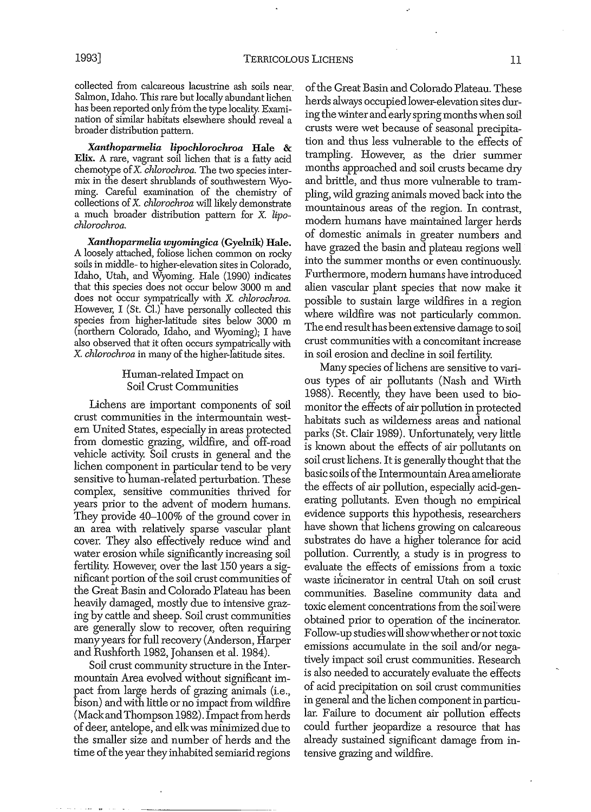collected from calcareous lacustrine ash soils near. Salmon, Idaho. This rare but locally abundant lichen has been reported only from the type locality. Examination of similar habitats elsewhere should reveal a broader distribution pattern.

*Xanthoparmelia lipochlorochroa* Hale & Elix. A rare, vagrant soil lichen that is a fatty acid chemotype ofX. *chlorochroa.* The two species intermix in the desert shrublands of southwestern Wyoming. Careful examination of the chemistry of collections ofX. *chlorochroa* will likely demonstrate a much broader distribution pattern for X. *lipochlorochroa.*

*Xnnthoparmelia wyomingica* (Gyelnik) Hale. A loosely attached, foliose lichen common on rocky soils in middle- to higher-elevation sites in Colorado, Idaho, Utah, and Wyoming. Hale (1990) indicates that this species does not occur below 3000 m and does not occur sympatrically with X. *chlorochroa.* However, I (St. Cl.) have personally collected this species from higher-latitude sites below 3000 m (northern Colorado, Idaho, and Wyoming); I have also observed that it often occurs sympatrically with X. *chlorochroa* in many of the higher-latitude sites.

#### Human-related Impact on Soil Crust Communities

Lichens are important components of soil crust communities in the intermountain western United States, especially in areas protected from domestic grazing, wildfire, and off-road vehicle activity. Soil crusts in general and the lichen component in particular tend to be very sensitive to human-related perturbation. These complex, sensitive communities thrived for years prior to the advent of modem humans. They provide 40-100% of the ground cover in an area with relatively sparse vascular plant cover. They also effectively reduce wind and water erosion while significantly increasing soil fertility. However, over the last 150 years a significant portion of the soil crust communities of the Great Basin and Colorado Plateau has been heavily damaged, mostly due to intensive grazing by cattle and sheep. Soil crust communities are generally slow to recover, often requiring manyyears for full recovery (Anderson, Harper and Rushforth 1982, Johansen et al. 1984).

Soil crust community structure in the Intermountain Area evolved without significant impact from large herds of grazing animals (i.e., bison) and with little or no impact from wildfire (Mack and Thompson 1982). Impact from herds of deer, antelope, and elk was minimized due to the smaller size and number of herds and the time of the year they inhabited semiarid regions

of the Great Basin and Colorado Plateau. These herds always occupiedlower-elevation sites during the winter and earlyspringmonths when soil crusts were wet because of seasonal precipitation and thus less vulnerable to the effects of trampling. However, as the drier summer months approached and soil crusts became dry and brittle, and thus more vulnerable to trampling, wild grazing animals moved back into the mountainous areas of the region. In contrast, modem humans have maintained larger herds of domestic· animals in greater numbers and have grazed the basin and plateau regions well into the summer months or even continuously. Furthennore, modem humans have introduced alien vascular plant species that now make it possible to sustain large wildfires in a region where wildfire was not particularly common. The end resulthas been extensive damage to soil crust communities with a concomitant increase in soil erosion and decline in soil fertility.

Many species of lichens are sensitive to various types of air pollutants (Nash and Wirth 1988). Recently; they have been used to biomonitor the effects of air pollution in protected habitats such as wilderness areas and national parks (St. Clair 1989). Unfortunately; very little is known about the effects of air pollutants on soil crust lichens. Itis generally thought that the basic soils ofthe IntermountainArea ameliorate the effects of air pollution, especially acid~generating pollutants. Even though no empirical evidence supports this hypothesis, researchers have shown that lichens growing on calcareous substrates do have a higher tolerance for acid pollution. Currently, a study is in progress to evaluate the effects of emissions from a toxic waste incinerator in central Utah on soil crust communities. Baseline community data and toxic element concentrations from the soil'were obtained prior to operation of the incinerator. Follow-up studieswillshowwhether ornot toxic emissions accumulate in the soil and/or negatively impact soil crust communities. Research is also needed to accurately evaluate the effects of acid precipitation on soil crust communities in general and the lichen component in particular. Failure to document air pollution effects could further jeopardize a resource that has already sustained significant damage from intensive grazing and wildfire.